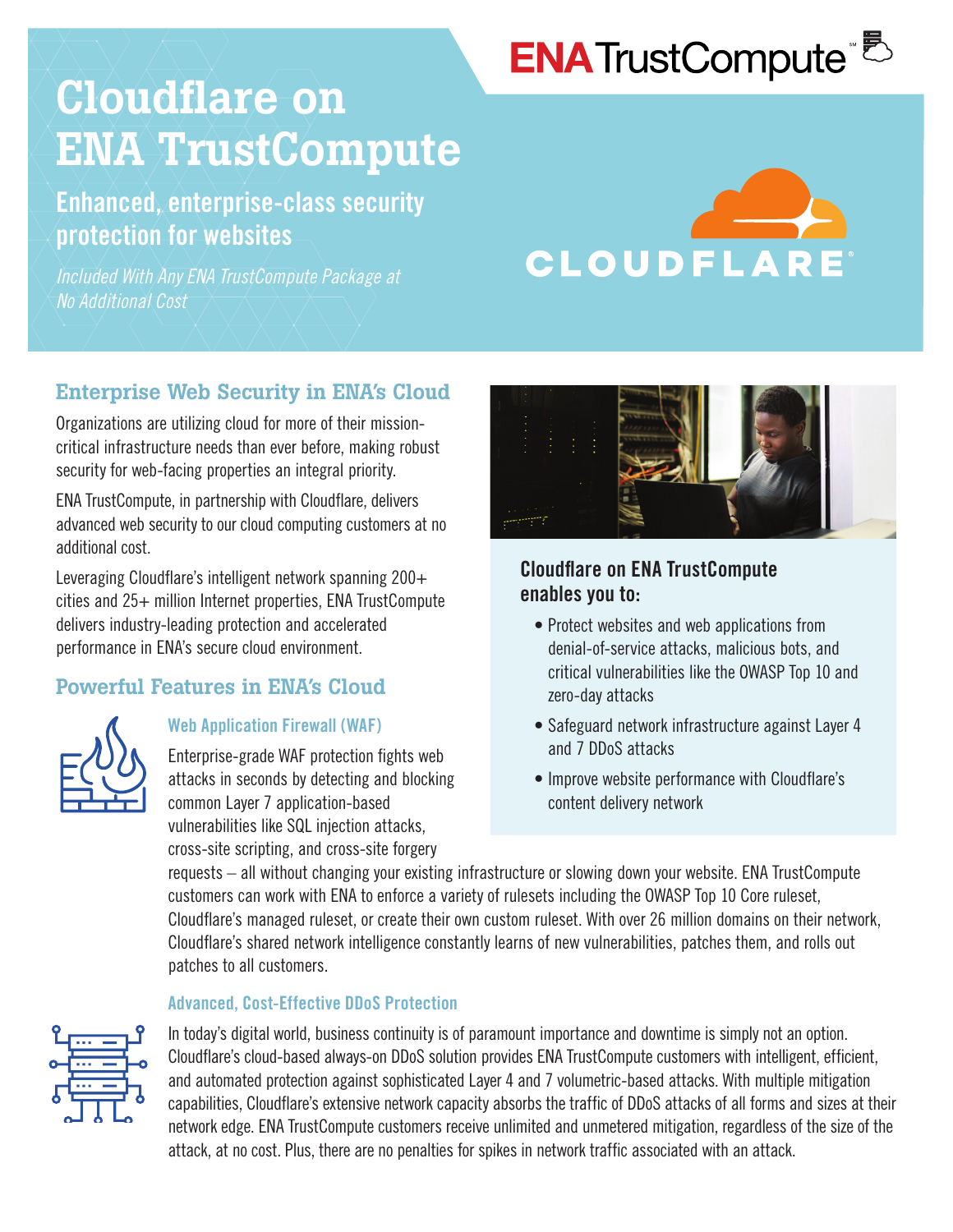# **ENA**TrustCompute<sup>®</sup>

# Cloudflare on ENA TrustCompute

# Enhanced, enterprise-class security protection for websites

*Included With Any ENA TrustCompute Package at No Additional Cost*



# Enterprise Web Security in ENA's Cloud

Organizations are utilizing cloud for more of their missioncritical infrastructure needs than ever before, making robust security for web-facing properties an integral priority.

ENA TrustCompute, in partnership with Cloudflare, delivers advanced web security to our cloud computing customers at no additional cost.

Leveraging Cloudflare's intelligent network spanning 200+ cities and 25+ million Internet properties, ENA TrustCompute delivers industry-leading protection and accelerated performance in ENA's secure cloud environment.

# Powerful Features in ENA's Cloud



### Web Application Firewall (WAF)

Enterprise-grade WAF protection fights web attacks in seconds by detecting and blocking common Layer 7 application-based vulnerabilities like SQL injection attacks, cross-site scripting, and cross-site forgery



### Cloudflare on ENA TrustCompute enables you to:

- Protect websites and web applications from denial-of-service attacks, malicious bots, and critical vulnerabilities like the OWASP Top 10 and zero-day attacks
- Safeguard network infrastructure against Layer 4 and 7 DDoS attacks
- Improve website performance with Cloudflare's content delivery network

requests – all without changing your existing infrastructure or slowing down your website. ENA TrustCompute customers can work with ENA to enforce a variety of rulesets including the OWASP Top 10 Core ruleset, Cloudflare's managed ruleset, or create their own custom ruleset. With over 26 million domains on their network, Cloudflare's shared network intelligence constantly learns of new vulnerabilities, patches them, and rolls out patches to all customers.

#### Advanced, Cost-Effective DDoS Protection



In today's digital world, business continuity is of paramount importance and downtime is simply not an option. Cloudflare's cloud-based always-on DDoS solution provides ENA TrustCompute customers with intelligent, efficient, and automated protection against sophisticated Layer 4 and 7 volumetric-based attacks. With multiple mitigation capabilities, Cloudflare's extensive network capacity absorbs the traffic of DDoS attacks of all forms and sizes at their network edge. ENA TrustCompute customers receive unlimited and unmetered mitigation, regardless of the size of the attack, at no cost. Plus, there are no penalties for spikes in network traffic associated with an attack.